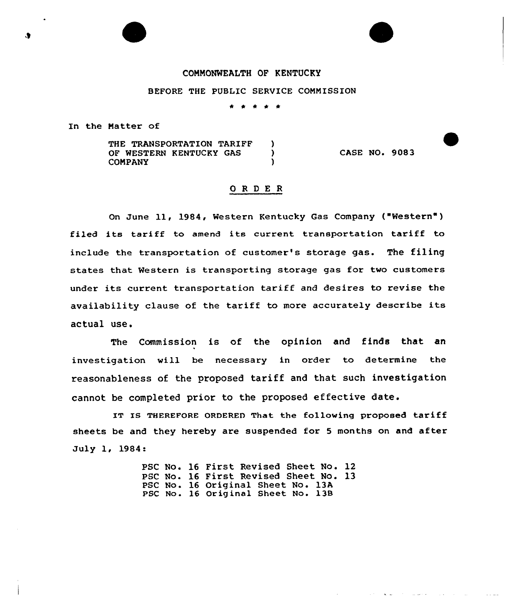## COMMONWEALTH OF KENTUCKY

BEFORE THE PUBLIC SERVICE CONNISSION

\* <sup>4</sup> \* \* \*

In the Hatter of

THE TRANSPORTATION TARIFF )<br>OF WESTERN KENTUCKY GAS ) OF WESTERN KENTUCKY GAS (OMPANY **COMPANY** 

CASE NO. 9083

and the participants of the approach of the control of the control of

## ORDER

On June 11, 1984, Western Kentucky Gas Company ("Western") filed its tariff to amend its current transportation tariff to include the transportation of customer's storage gas. The filing states that Western is transporting storage gas for two customers under its current transportation tariff and desires to revise the availability clause of the tariff to more accurately describe its actual use.

The Commission is of the opinion and finds that an investigation will be necessary in order to determine the reasonableness of the proposed tariff and that such investigation cannot be completed prior to the proposed effective date.

IT IS THEREFORE ORDERED That the following proposed tariff sheets be and they hereby are suspended for <sup>5</sup> months on and after July 1, 1984:

> PSC No. 16 First Revised Sheet No. 12 PSC No. 16 First Revised Sheet No. 13 PSC No. 16 Original Sheet No. 13A PSC No. 16 Original Sheet No. 138